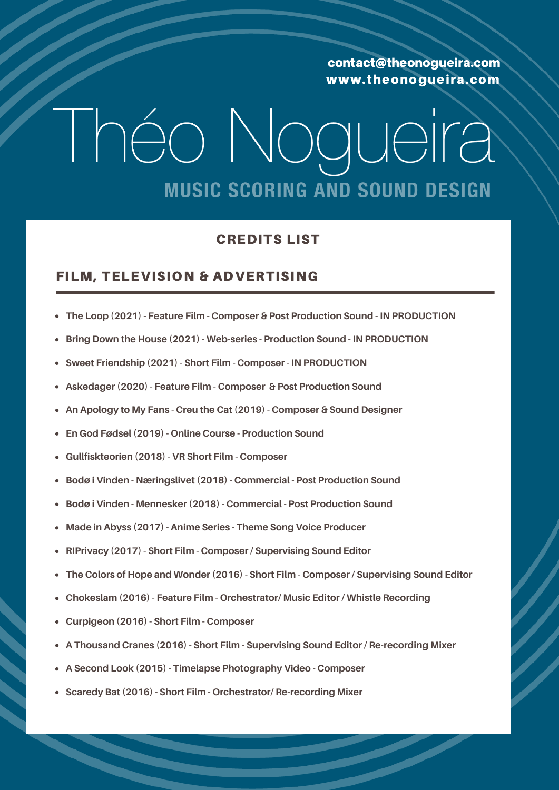### I héo Nogueira **MUSIC SCORING AND SOUND DESIGN**

#### CREDITS LIST

#### FILM, TELEVISION & ADVERTISING

- **The Loop (2021) - Feature Film - Composer & Post Production Sound - IN PRODUCTION**
- **Bring Down the House (2021) - Web-series - Production Sound - IN PRODUCTION**
- **Sweet Friendship (2021) - Short Film - Composer - IN PRODUCTION**
- **Askedager (2020) - Feature Film - Composer & Post Production Sound**
- **An Apology to My Fans - Creu the Cat (2019) - Composer & Sound Designer**
- **En God Fødsel (2019) - Online Course - Production Sound**
- **Gullfiskteorien (2018) - VR Short Film - Composer**
- **Bodø i Vinden - Næringslivet (2018) - Commercial - Post Production Sound**
- **Bodø i Vinden - Mennesker (2018) - Commercial - Post Production Sound**
- **Made in Abyss (2017) - Anime Series - Theme Song Voice Producer**
- **RIPrivacy (2017) - Short Film - Composer / Supervising Sound Editor**
- **The Colors of Hope and Wonder (2016) - Short Film - Composer / Supervising Sound Editor**
- **Chokeslam (2016) - Feature Film - Orchestrator/ Music Editor / Whistle Recording**
- **Curpigeon (2016) - Short Film - Composer**
- **A Thousand Cranes (2016) - Short Film - Supervising Sound Editor / Re-recording Mixer**
- **A Second Look (2015) - Timelapse Photography Video - Composer**
- **Scaredy Bat (2016) - Short Film - Orchestrator/ Re-recording Mixer**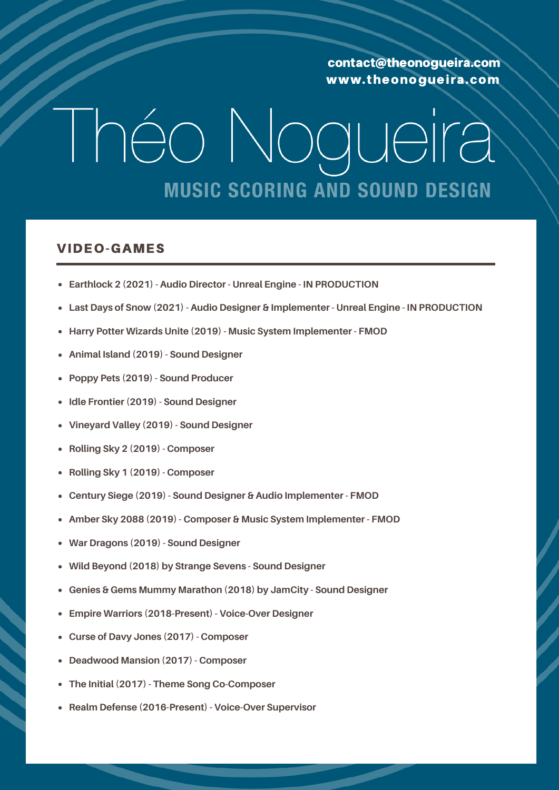## I héo Nogueira **MUSIC SCORING AND SOUND DESIGN**

#### VIDEO-GAMES

- **Earthlock 2 (2021) - Audio Director - Unreal Engine - IN PRODUCTION**
- **Last Days of Snow (2021) - Audio Designer & Implementer - Unreal Engine - IN PRODUCTION**
- **Harry Potter Wizards Unite (2019) - Music System Implementer - FMOD**
- **Animal Island (2019) - Sound Designer**
- **Poppy Pets (2019) - Sound Producer**
- **Idle Frontier (2019) - Sound Designer**
- **Vineyard Valley (2019) - Sound Designer**
- **Rolling Sky 2 (2019) - Composer**
- **Rolling Sky 1 (2019) - Composer**
- **Century Siege (2019) - Sound Designer & Audio Implementer - FMOD**
- **Amber Sky 2088 (2019) - Composer & Music System Implementer - FMOD**
- **War Dragons (2019) - Sound Designer**
- **Wild Beyond (2018) by Strange Sevens - Sound Designer**
- **Genies & Gems Mummy Marathon (2018) by JamCity - Sound Designer**
- **Empire Warriors (2018-Present) - Voice-Over Designer**
- **Curse of Davy Jones (2017) - Composer**
- **Deadwood Mansion (2017) - Composer**
- **The Initial (2017) - Theme Song Co-Composer**
- **Realm Defense (2016-Present) - Voice-Over Supervisor**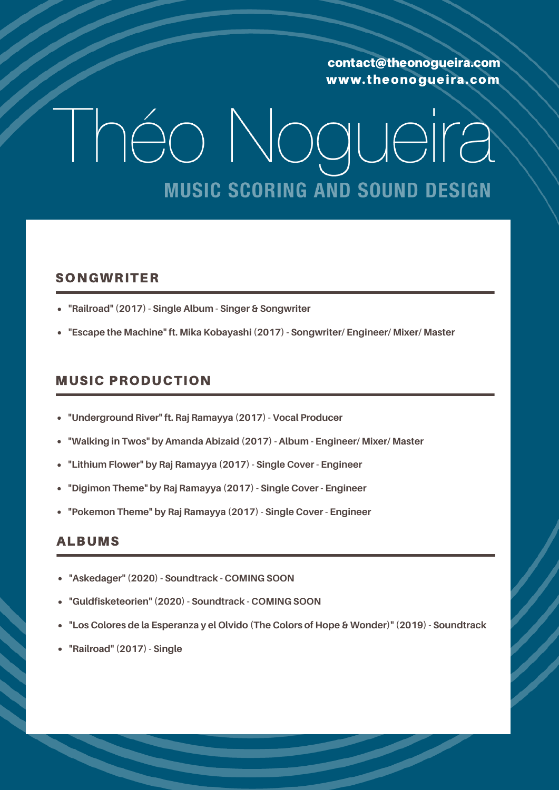## I héo Nogueira **MUSIC SCORING AND SOUND DESIGN**

#### SONGWRITER

- **"Railroad" (2017) - Single Album - Singer & Songwriter**
- **"Escape the Machine" ft. Mika Kobayashi (2017) - Songwriter/ Engineer/ Mixer/ Master**

#### MUSIC PRODUCTION

- **"Underground River" ft. Raj Ramayya (2017) - Vocal Producer**
- **"Walking in Twos" by Amanda Abizaid (2017) - Album - Engineer/ Mixer/ Master**
- **"Lithium Flower" by Raj Ramayya (2017) - Single Cover - Engineer**
- **"Digimon Theme" by Raj Ramayya (2017) - Single Cover - Engineer**
- **"Pokemon Theme" by Raj Ramayya (2017) - Single Cover - Engineer**

#### ALBUMS

- **"Askedager" (2020) - Soundtrack - COMING SOON**
- **"Guldfisketeorien" (2020) - Soundtrack - COMING SOON**
- **"Los Colores de la Esperanza y el Olvido (The Colors of Hope & Wonder)" (2019) - Soundtrack**
- **"Railroad" (2017) - Single**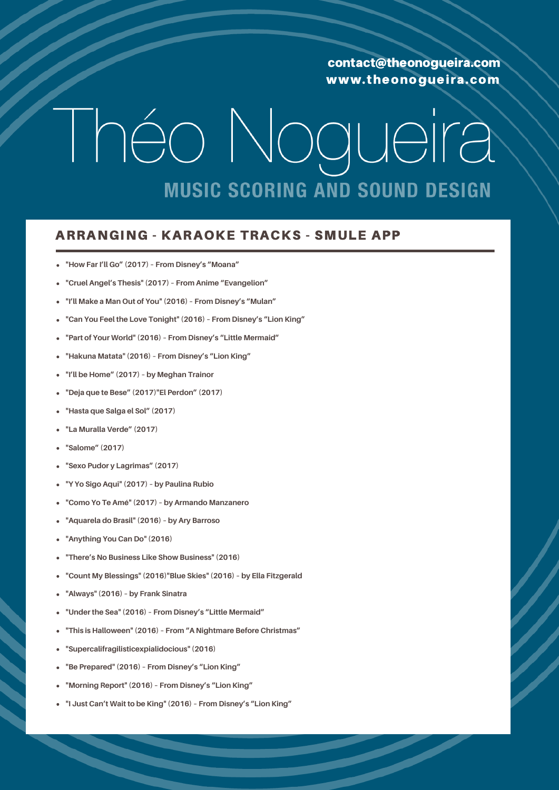# Théo Nogueira **MUSIC SCORING AND SOUND DESIGN**

#### ARRANGING - KARAOKE TRACKS - SMULE APP

- **"How Far I'll Go" (2017) – From Disney's "Moana"**
- **"Cruel Angel's Thesis" (2017) – From Anime "Evangelion"**
- **"I'll Make a Man Out of You" (2016) – From Disney's "Mulan"**
- **"Can You Feel the Love Tonight" (2016) – From Disney's "Lion King"**
- **"Part of Your World" (2016) – From Disney's "Little Mermaid"**
- **"Hakuna Matata" (2016) – From Disney's "Lion King"**
- **"I'll be Home" (2017) – by Meghan Trainor**
- **"Deja que te Bese" (2017)"El Perdon" (2017)**
- **"Hasta que Salga el Sol" (2017)**
- **"La Muralla Verde" (2017)**
- **"Salome" (2017)**
- **"Sexo Pudor y Lagrimas" (2017)**
- **"Y Yo Sigo Aqui" (2017) – by Paulina Rubio**
- **"Como Yo Te Amé" (2017) – by Armando Manzanero**
- **"Aquarela do Brasil" (2016) – by Ary Barroso**
- **"Anything You Can Do" (2016)**
- **"There's No Business Like Show Business" (2016)**
- **"Count My Blessings" (2016)"Blue Skies" (2016) – by Ella Fitzgerald**
- **"Always" (2016) – by Frank Sinatra**
- **"Under the Sea" (2016) – From Disney's "Little Mermaid"**
- **"This is Halloween" (2016) – From "A Nightmare Before Christmas"**
- **"Supercalifragilisticexpialidocious" (2016)**
- **"Be Prepared" (2016) – From Disney's "Lion King"**
- **"Morning Report" (2016) – From Disney's "Lion King"**
- **"I Just Can't Wait to be King" (2016) – From Disney's "Lion King"**